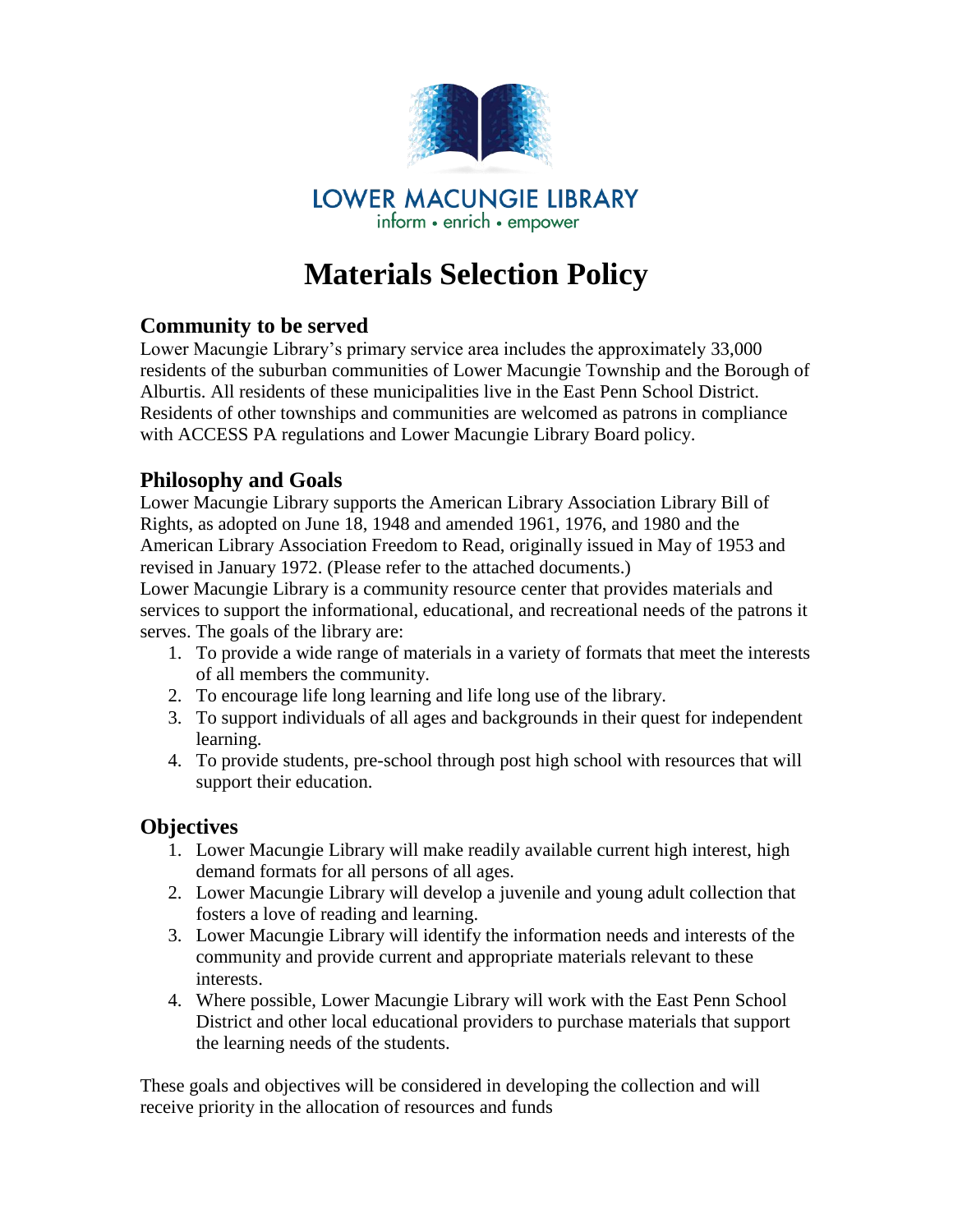

# **Materials Selection Policy**

#### **Community to be served**

Lower Macungie Library's primary service area includes the approximately 33,000 residents of the suburban communities of Lower Macungie Township and the Borough of Alburtis. All residents of these municipalities live in the East Penn School District. Residents of other townships and communities are welcomed as patrons in compliance with ACCESS PA regulations and Lower Macungie Library Board policy.

#### **Philosophy and Goals**

Lower Macungie Library supports the American Library Association Library Bill of Rights, as adopted on June 18, 1948 and amended 1961, 1976, and 1980 and the American Library Association Freedom to Read, originally issued in May of 1953 and revised in January 1972. (Please refer to the attached documents.)

Lower Macungie Library is a community resource center that provides materials and services to support the informational, educational, and recreational needs of the patrons it serves. The goals of the library are:

- 1. To provide a wide range of materials in a variety of formats that meet the interests of all members the community.
- 2. To encourage life long learning and life long use of the library.
- 3. To support individuals of all ages and backgrounds in their quest for independent learning.
- 4. To provide students, pre-school through post high school with resources that will support their education.

#### **Objectives**

- 1. Lower Macungie Library will make readily available current high interest, high demand formats for all persons of all ages.
- 2. Lower Macungie Library will develop a juvenile and young adult collection that fosters a love of reading and learning.
- 3. Lower Macungie Library will identify the information needs and interests of the community and provide current and appropriate materials relevant to these interests.
- 4. Where possible, Lower Macungie Library will work with the East Penn School District and other local educational providers to purchase materials that support the learning needs of the students.

These goals and objectives will be considered in developing the collection and will receive priority in the allocation of resources and funds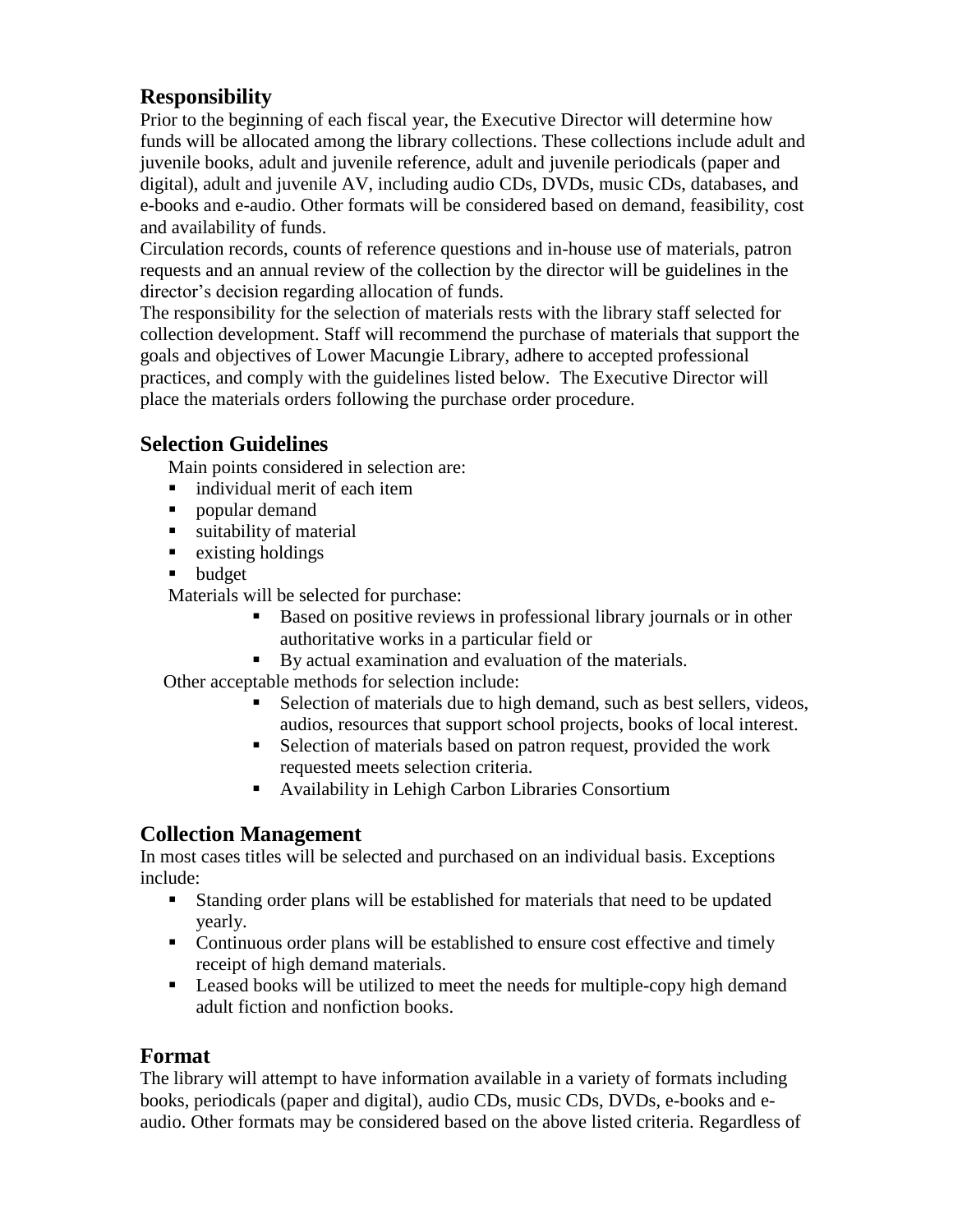## **Responsibility**

Prior to the beginning of each fiscal year, the Executive Director will determine how funds will be allocated among the library collections. These collections include adult and juvenile books, adult and juvenile reference, adult and juvenile periodicals (paper and digital), adult and juvenile AV, including audio CDs, DVDs, music CDs, databases, and e-books and e-audio. Other formats will be considered based on demand, feasibility, cost and availability of funds.

Circulation records, counts of reference questions and in-house use of materials, patron requests and an annual review of the collection by the director will be guidelines in the director's decision regarding allocation of funds.

The responsibility for the selection of materials rests with the library staff selected for collection development. Staff will recommend the purchase of materials that support the goals and objectives of Lower Macungie Library, adhere to accepted professional practices, and comply with the guidelines listed below. The Executive Director will place the materials orders following the purchase order procedure.

#### **Selection Guidelines**

Main points considered in selection are:

- individual merit of each item
- popular demand
- ullet suitability of material
- $\blacksquare$  existing holdings
- **budget**

Materials will be selected for purchase:

- Based on positive reviews in professional library journals or in other authoritative works in a particular field or
- By actual examination and evaluation of the materials.

Other acceptable methods for selection include:

- Selection of materials due to high demand, such as best sellers, videos, audios, resources that support school projects, books of local interest.
- Selection of materials based on patron request, provided the work requested meets selection criteria.
- Availability in Lehigh Carbon Libraries Consortium

#### **Collection Management**

In most cases titles will be selected and purchased on an individual basis. Exceptions include:

- Standing order plans will be established for materials that need to be updated yearly.
- Continuous order plans will be established to ensure cost effective and timely receipt of high demand materials.
- **Leased books will be utilized to meet the needs for multiple-copy high demand** adult fiction and nonfiction books.

#### **Format**

The library will attempt to have information available in a variety of formats including books, periodicals (paper and digital), audio CDs, music CDs, DVDs, e-books and eaudio. Other formats may be considered based on the above listed criteria. Regardless of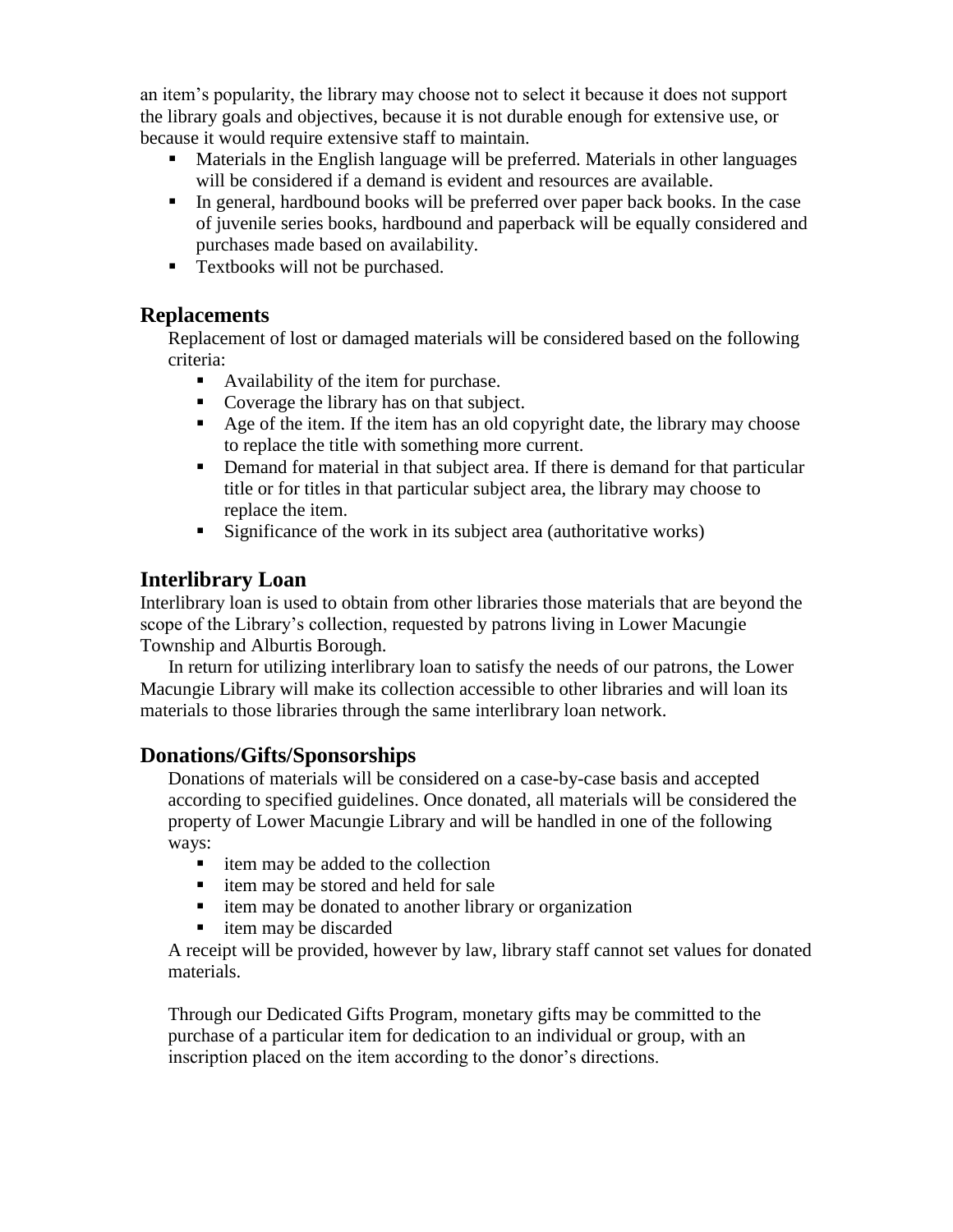an item's popularity, the library may choose not to select it because it does not support the library goals and objectives, because it is not durable enough for extensive use, or because it would require extensive staff to maintain.

- Materials in the English language will be preferred. Materials in other languages will be considered if a demand is evident and resources are available.
- In general, hardbound books will be preferred over paper back books. In the case of juvenile series books, hardbound and paperback will be equally considered and purchases made based on availability.
- Textbooks will not be purchased.

#### **Replacements**

Replacement of lost or damaged materials will be considered based on the following criteria:

- Availability of the item for purchase.
- Coverage the library has on that subject.
- Age of the item. If the item has an old copyright date, the library may choose to replace the title with something more current.
- Demand for material in that subject area. If there is demand for that particular title or for titles in that particular subject area, the library may choose to replace the item.
- Significance of the work in its subject area (authoritative works)

### **Interlibrary Loan**

Interlibrary loan is used to obtain from other libraries those materials that are beyond the scope of the Library's collection, requested by patrons living in Lower Macungie Township and Alburtis Borough.

 In return for utilizing interlibrary loan to satisfy the needs of our patrons, the Lower Macungie Library will make its collection accessible to other libraries and will loan its materials to those libraries through the same interlibrary loan network.

#### **Donations/Gifts/Sponsorships**

Donations of materials will be considered on a case-by-case basis and accepted according to specified guidelines. Once donated, all materials will be considered the property of Lower Macungie Library and will be handled in one of the following ways:

- item may be added to the collection
- $\blacksquare$  item may be stored and held for sale
- $\blacksquare$  item may be donated to another library or organization
- item may be discarded

A receipt will be provided, however by law, library staff cannot set values for donated materials.

Through our Dedicated Gifts Program, monetary gifts may be committed to the purchase of a particular item for dedication to an individual or group, with an inscription placed on the item according to the donor's directions.